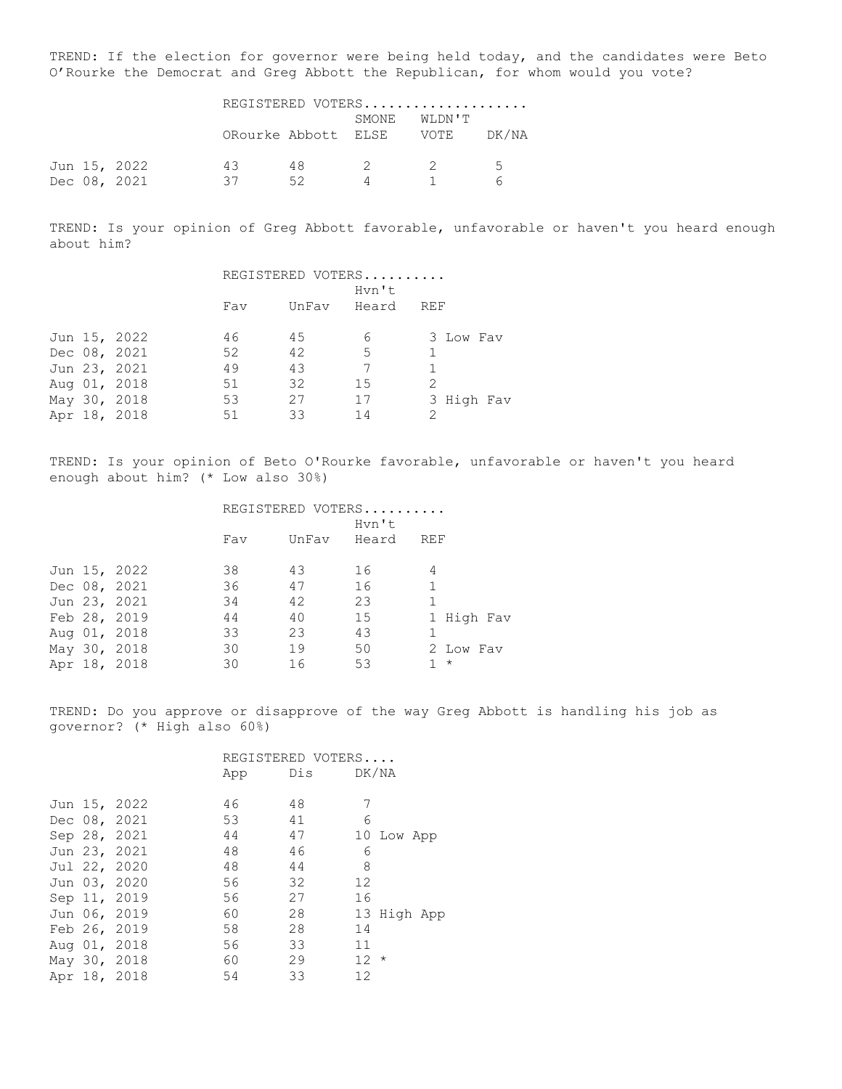TREND: If the election for governor were being held today, and the candidates were Beto O'Rourke the Democrat and Greg Abbott the Republican, for whom would you vote?

|  |              | REGISTERED VOTERS |                          |                |  |       |
|--|--------------|-------------------|--------------------------|----------------|--|-------|
|  |              |                   | ORourke Abbott ELSE VOTE | SMONE WLDN'T   |  | DK/NA |
|  | Jun 15, 2022 | 43                | 48.                      | $\overline{2}$ |  | 5     |
|  | Dec 08, 2021 | 37                | 52                       |                |  |       |

TREND: Is your opinion of Greg Abbott favorable, unfavorable or haven't you heard enough about him?

|  |              | REGISTERED VOTERS |             |    |               |  |  |
|--|--------------|-------------------|-------------|----|---------------|--|--|
|  |              |                   | Hvn't       |    |               |  |  |
|  |              | Fav               | UnFav Heard |    | REF           |  |  |
|  |              |                   |             |    |               |  |  |
|  | Jun 15, 2022 | 46                | 45          | 6  | 3 Low Fav     |  |  |
|  | Dec 08, 2021 | 52                | 42          | -5 |               |  |  |
|  | Jun 23, 2021 | 49                | 43          |    |               |  |  |
|  | Aug 01, 2018 | 51                | 32          | 15 |               |  |  |
|  | May 30, 2018 | 53                | 27          | 17 | 3 High Fav    |  |  |
|  | Apr 18, 2018 | 51                | 33          | 14 | $\mathcal{P}$ |  |  |

TREND: Is your opinion of Beto O'Rourke favorable, unfavorable or haven't you heard enough about him? (\* Low also 30%)

|  |              | REGISTERED VOTERS |       |       |            |  |  |
|--|--------------|-------------------|-------|-------|------------|--|--|
|  |              | Hvn't             |       |       |            |  |  |
|  |              | Fav               | UnFav | Heard | REF        |  |  |
|  |              |                   |       |       |            |  |  |
|  | Jun 15, 2022 | 38                | 43    | 16    | 4          |  |  |
|  | Dec 08, 2021 | 36                | 47    | 16    |            |  |  |
|  | Jun 23, 2021 | 34                | 42    | 23    |            |  |  |
|  | Feb 28, 2019 | 44                | 40    | 15    | 1 High Fav |  |  |
|  | Aug 01, 2018 | 33                | 23    | 43    |            |  |  |
|  | May 30, 2018 | 30                | 19    | 50    | 2 Low Fav  |  |  |
|  | Apr 18, 2018 | 30                | 16    | 53    | $\star$    |  |  |

TREND: Do you approve or disapprove of the way Greg Abbott is handling his job as governor? (\* High also 60%)

|  |              |     | REGISTERED VOTERS |                   |
|--|--------------|-----|-------------------|-------------------|
|  |              | App | Dis               | DK/NA             |
|  |              |     |                   |                   |
|  | Jun 15, 2022 | 46  | 48                | 7                 |
|  | Dec 08, 2021 | 53  | 41                | 6                 |
|  | Sep 28, 2021 | 44  | 47                | 10 Low App        |
|  | Jun 23, 2021 | 48  | 46                | 6                 |
|  | Jul 22, 2020 | 48  | 44                | 8                 |
|  | Jun 03, 2020 | 56  | 32                | $12 \overline{c}$ |
|  | Sep 11, 2019 | 56  | 27                | 16                |
|  | Jun 06, 2019 | 60  | 28                | 13 High App       |
|  | Feb 26, 2019 | 58  | 28                | 14                |
|  | Aug 01, 2018 | 56  | 33                | 11                |
|  | May 30, 2018 | 60  | 29                | $12 *$            |
|  | Apr 18, 2018 | 54  | 33                | $12 \overline{c}$ |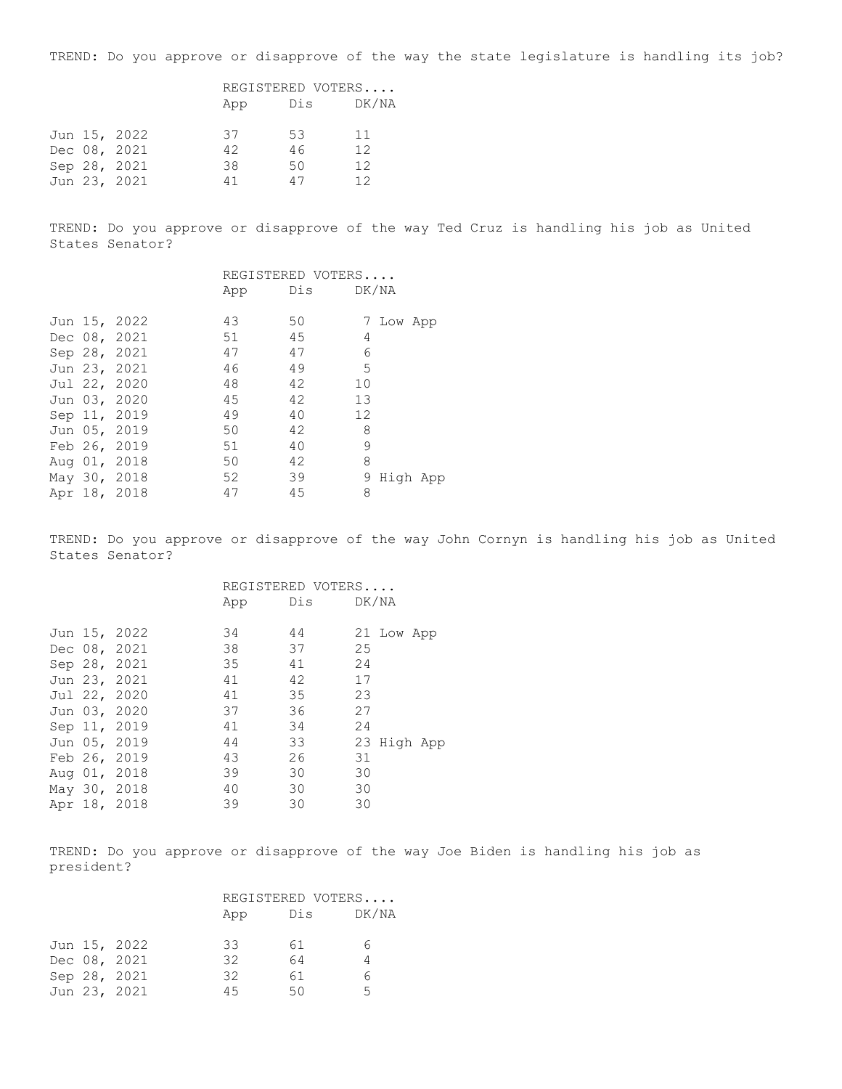TREND: Do you approve or disapprove of the way the state legislature is handling its job?

|  |              | REGISTERED VOTERS |     |       |
|--|--------------|-------------------|-----|-------|
|  |              | App               | Dis | DK/NA |
|  | Jun 15, 2022 | 37                | -53 | 11    |
|  | Dec 08, 2021 | 42                | 46  | 12    |
|  | Sep 28, 2021 | 38                | 50  | 12    |
|  | Jun 23, 2021 | 41                | 47  | 12    |

TREND: Do you approve or disapprove of the way Ted Cruz is handling his job as United States Senator?

|  |              |     | REGISTERED VOTERS |    |           |          |
|--|--------------|-----|-------------------|----|-----------|----------|
|  |              | App | Dis DK/NA         |    |           |          |
|  |              |     |                   |    |           |          |
|  | Jun 15, 2022 | 43  | 50                |    | 7 Low App |          |
|  | Dec 08, 2021 | 51  | 45                | 4  |           |          |
|  | Sep 28, 2021 | 47  | 47                | 6  |           |          |
|  | Jun 23, 2021 | 46  | 49                | 5  |           |          |
|  | Jul 22, 2020 | 48  | 42                | 10 |           |          |
|  | Jun 03, 2020 | 45  | 42                | 13 |           |          |
|  | Sep 11, 2019 | 49  | 40                | 12 |           |          |
|  | Jun 05, 2019 | 50  | 42                | 8  |           |          |
|  | Feb 26, 2019 | 51  | 40                | 9  |           |          |
|  | Aug 01, 2018 | 50  | 42                | 8  |           |          |
|  | May 30, 2018 | 52  | 39                | 9  |           | High App |
|  | Apr 18, 2018 | 47  | 45                | 8  |           |          |

TREND: Do you approve or disapprove of the way John Cornyn is handling his job as United States Senator?

|  |              |     | REGISTERED VOTERS |             |
|--|--------------|-----|-------------------|-------------|
|  |              | App | Dis DK/NA         |             |
|  |              | 34  | 44                |             |
|  | Jun 15, 2022 |     |                   | 21 Low App  |
|  | Dec 08, 2021 | 38  | 37                | 25          |
|  | Sep 28, 2021 | 35  | 41                | 24          |
|  | Jun 23, 2021 | 41  | 42                | 17          |
|  | Jul 22, 2020 | 41  | 35                | 23          |
|  | Jun 03, 2020 | 37  | 36                | 27          |
|  | Sep 11, 2019 | 41  | 34                | 24          |
|  | Jun 05, 2019 | 44  | 33                | 23 High App |
|  | Feb 26, 2019 | 43  | 26                | 31          |
|  | Aug 01, 2018 | 39  | 30                | 30          |
|  | May 30, 2018 | 40  | 30                | 30          |
|  | Apr 18, 2018 | 39  | 30                | 30          |

TREND: Do you approve or disapprove of the way Joe Biden is handling his job as president?

|  |              | REGISTERED VOTERS |  |     |  |       |
|--|--------------|-------------------|--|-----|--|-------|
|  |              | App               |  | Dis |  | DK/NA |
|  | Jun 15, 2022 | 33                |  | 61  |  | 6.    |
|  | Dec 08, 2021 | 32                |  | 64  |  |       |
|  | Sep 28, 2021 | 32                |  | 61  |  | 6     |
|  | Jun 23, 2021 | 45                |  | 50  |  | Б.    |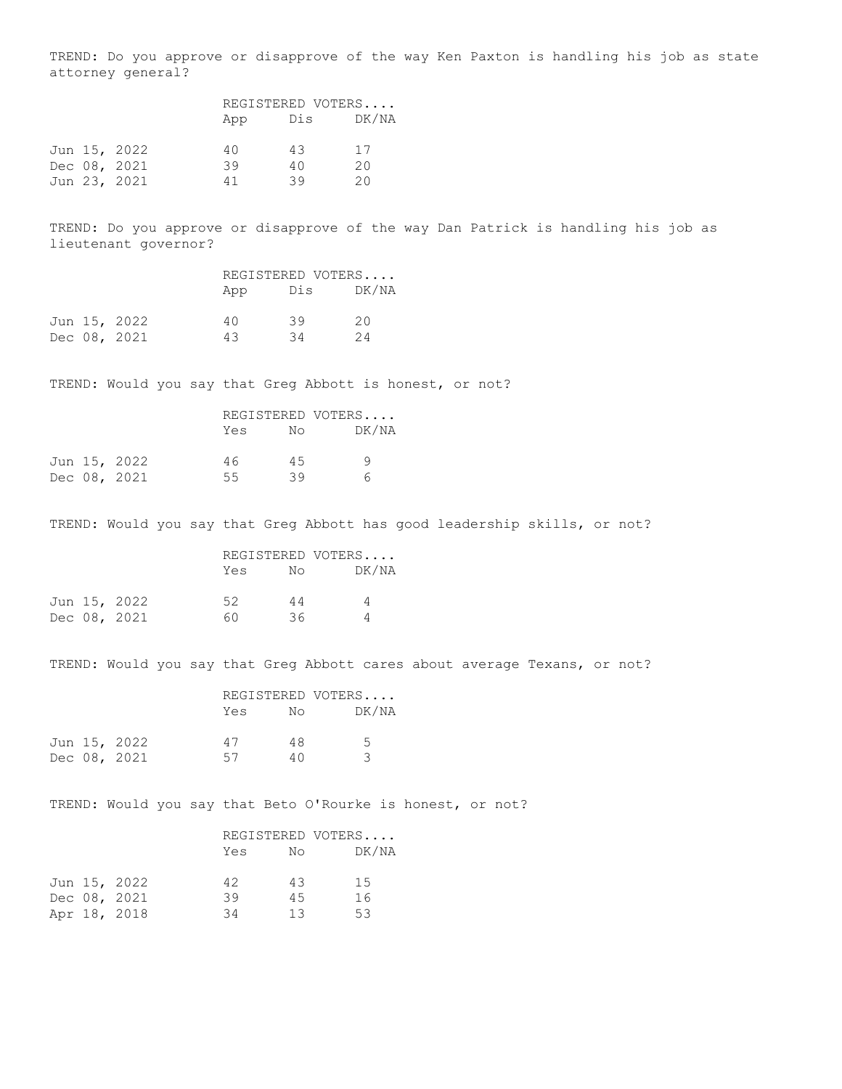TREND: Do you approve or disapprove of the way Ken Paxton is handling his job as state attorney general?

|  |              | REGISTERED VOTERS |     |       |
|--|--------------|-------------------|-----|-------|
|  |              | App               | Dis | DK/NA |
|  | Jun 15, 2022 | 40                | 43  | 17    |
|  | Dec 08, 2021 | 39                | 40  | 20    |
|  | Jun 23, 2021 | 41                | 39  | 20    |

TREND: Do you approve or disapprove of the way Dan Patrick is handling his job as lieutenant governor?

|  |              | REGISTERED VOTERS |     |       |
|--|--------------|-------------------|-----|-------|
|  |              | App               | Dis | DK/NA |
|  | Jun 15, 2022 | 4 Q               | 39  | 20    |
|  | Dec 08, 2021 | 43                | 34  | 24    |

TREND: Would you say that Greg Abbott is honest, or not?

|  |              | REGISTERED VOTERS |     |       |  |
|--|--------------|-------------------|-----|-------|--|
|  |              | Yes               | No  | DK/NA |  |
|  | Jun 15, 2022 | 46                | 4.5 | q     |  |
|  | Dec 08, 2021 | 55.               | 39  | 6     |  |

TREND: Would you say that Greg Abbott has good leadership skills, or not?

|  |              |     |    | REGISTERED VOTERS |  |
|--|--------------|-----|----|-------------------|--|
|  |              | Yes | No | DK/NA             |  |
|  | Jun 15, 2022 | 52  | 44 | $\Delta$          |  |
|  | Dec 08, 2021 | 60. | 36 |                   |  |

TREND: Would you say that Greg Abbott cares about average Texans, or not?

|  |              |     |    | REGISTERED VOTERS |  |
|--|--------------|-----|----|-------------------|--|
|  |              | Yes | No | DK/NA             |  |
|  | Jun 15, 2022 | 47  | 48 | 5                 |  |
|  | Dec 08, 2021 | 57  | 40 |                   |  |

TREND: Would you say that Beto O'Rourke is honest, or not?

|  |              |     |    | REGISTERED VOTERS |  |
|--|--------------|-----|----|-------------------|--|
|  |              | Yes | No | DK/NA             |  |
|  | Jun 15, 2022 | 42  | 43 | 15                |  |
|  | Dec 08, 2021 | 39  | 45 | 16                |  |
|  | Apr 18, 2018 | 34  | 13 | 53                |  |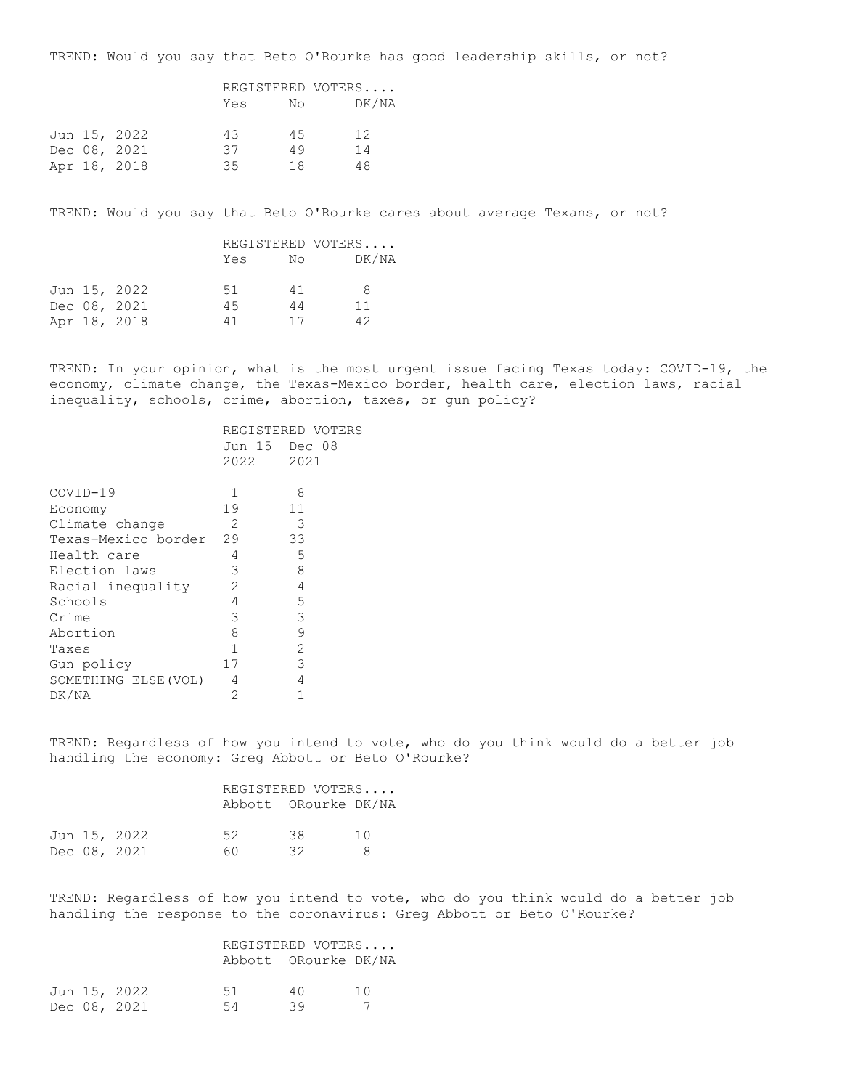TREND: Would you say that Beto O'Rourke has good leadership skills, or not?

|  |              | REGISTERED VOTERS |     |  |       |
|--|--------------|-------------------|-----|--|-------|
|  |              | Yes               | No  |  | DK/NA |
|  | Jun 15, 2022 | 43                | 4.5 |  | 12    |
|  | Dec 08, 2021 | 37                | 49  |  | 14    |
|  | Apr 18, 2018 | 35                | 18  |  | 48    |

TREND: Would you say that Beto O'Rourke cares about average Texans, or not?

|  |              | REGISTERED VOTERS |    |    |       |
|--|--------------|-------------------|----|----|-------|
|  |              | Yes               | No |    | DK/NA |
|  | Jun 15, 2022 | 51                | 41 | 8  |       |
|  | Dec 08, 2021 | 45                | 44 | 11 |       |
|  | Apr 18, 2018 | 41                | 17 | 42 |       |

TREND: In your opinion, what is the most urgent issue facing Texas today: COVID-19, the economy, climate change, the Texas-Mexico border, health care, election laws, racial inequality, schools, crime, abortion, taxes, or gun policy?

|                        |               | REGISTERED VOTERS |
|------------------------|---------------|-------------------|
|                        | Jun 15 Dec 08 |                   |
|                        | 2022          | 2021              |
|                        |               |                   |
| COVID-19               | 1             | 8                 |
| Economy                | 19            | 11                |
| Climate change         | 2             | 3                 |
| Texas-Mexico border 29 |               | 33                |
| Health care            | 4             | 5                 |
| Election laws          | 3             | 8                 |
| Racial inequality      | 2             | 4                 |
| Schools                | 4             | 5                 |
| Crime                  | 3             | 3                 |
| Abortion               | 8             | 9                 |
| Taxes                  | $\mathbf{1}$  | $\overline{c}$    |
| Gun policy             | 17            | 3                 |
| SOMETHING ELSE (VOL)   | 4             | 4                 |
| DK/NA                  | 2             |                   |
|                        |               |                   |

TREND: Regardless of how you intend to vote, who do you think would do a better job handling the economy: Greg Abbott or Beto O'Rourke?

| REGISTERED VOTERS    |  |
|----------------------|--|
| Abbott ORourke DK/NA |  |

|  | Jun 15, 2022 | - 52 | 38 | 10 |
|--|--------------|------|----|----|
|  | Dec 08, 2021 | -60  | 32 | -8 |

TREND: Regardless of how you intend to vote, who do you think would do a better job handling the response to the coronavirus: Greg Abbott or Beto O'Rourke?

|  | REGISTERED VOTERS    |  |
|--|----------------------|--|
|  | Abbott ORourke DK/NA |  |

|  | Jun 15, 2022 | -51<br>40 |    | 10 |
|--|--------------|-----------|----|----|
|  | Dec 08, 2021 | 54        | 39 |    |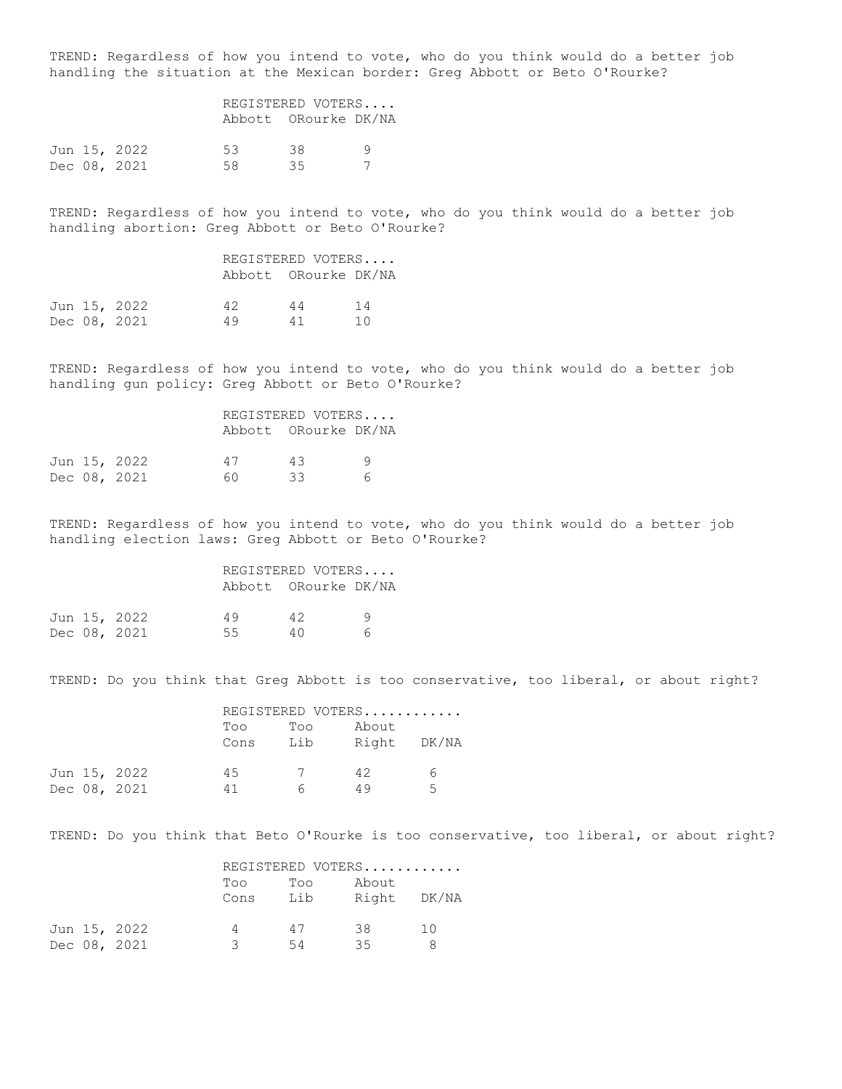TREND: Regardless of how you intend to vote, who do you think would do a better job handling the situation at the Mexican border: Greg Abbott or Beto O'Rourke?

|  |              | REGISTERED VOTERS |                      |   |  |
|--|--------------|-------------------|----------------------|---|--|
|  |              |                   | Abbott ORourke DK/NA |   |  |
|  | Jun 15, 2022 | 53                | 38                   | a |  |
|  | Dec 08, 2021 | 58.               | 35                   |   |  |
|  |              |                   |                      |   |  |

TREND: Regardless of how you intend to vote, who do you think would do a better job handling abortion: Greg Abbott or Beto O'Rourke?

|  |              |    |    | REGISTERED VOTERS<br>Abbott ORourke DK/NA |  |
|--|--------------|----|----|-------------------------------------------|--|
|  | Jun 15, 2022 | 42 | 44 | 14                                        |  |
|  | Dec 08, 2021 | 49 | 41 | 1 N                                       |  |

TREND: Regardless of how you intend to vote, who do you think would do a better job handling gun policy: Greg Abbott or Beto O'Rourke?

|  |              | REGISTERED VOTERS |                      |   |  |
|--|--------------|-------------------|----------------------|---|--|
|  |              |                   | Abbott ORourke DK/NA |   |  |
|  | Jun 15, 2022 | 47                | 43                   | Q |  |
|  | Dec 08, 2021 | 60.               | スス                   | 6 |  |

TREND: Regardless of how you intend to vote, who do you think would do a better job handling election laws: Greg Abbott or Beto O'Rourke?

## REGISTERED VOTERS.... Abbott ORourke DK/NA Jun 15, 2022 49 42 9 Dec 08, 2021 55 40 6

TREND: Do you think that Greg Abbott is too conservative, too liberal, or about right?

|  |              |      |                | REGISTERED VOTERS |   |
|--|--------------|------|----------------|-------------------|---|
|  |              | Too  | Too            | About             |   |
|  |              | Cons | Lib            | Right DK/NA       |   |
|  | Jun 15, 2022 | 45   | $\overline{7}$ | 42                | 6 |
|  | Dec 08, 2021 | 41   | Б.             | 49                | 5 |

TREND: Do you think that Beto O'Rourke is too conservative, too liberal, or about right?

|  |              |      |     | REGISTERED VOTERS |             |  |
|--|--------------|------|-----|-------------------|-------------|--|
|  |              | Too  | Too | About             |             |  |
|  |              | Cons | Lib |                   | Right DK/NA |  |
|  | Jun 15, 2022 |      | 47  | 38                | 1 O         |  |
|  | Dec 08, 2021 |      | 54  | 35                |             |  |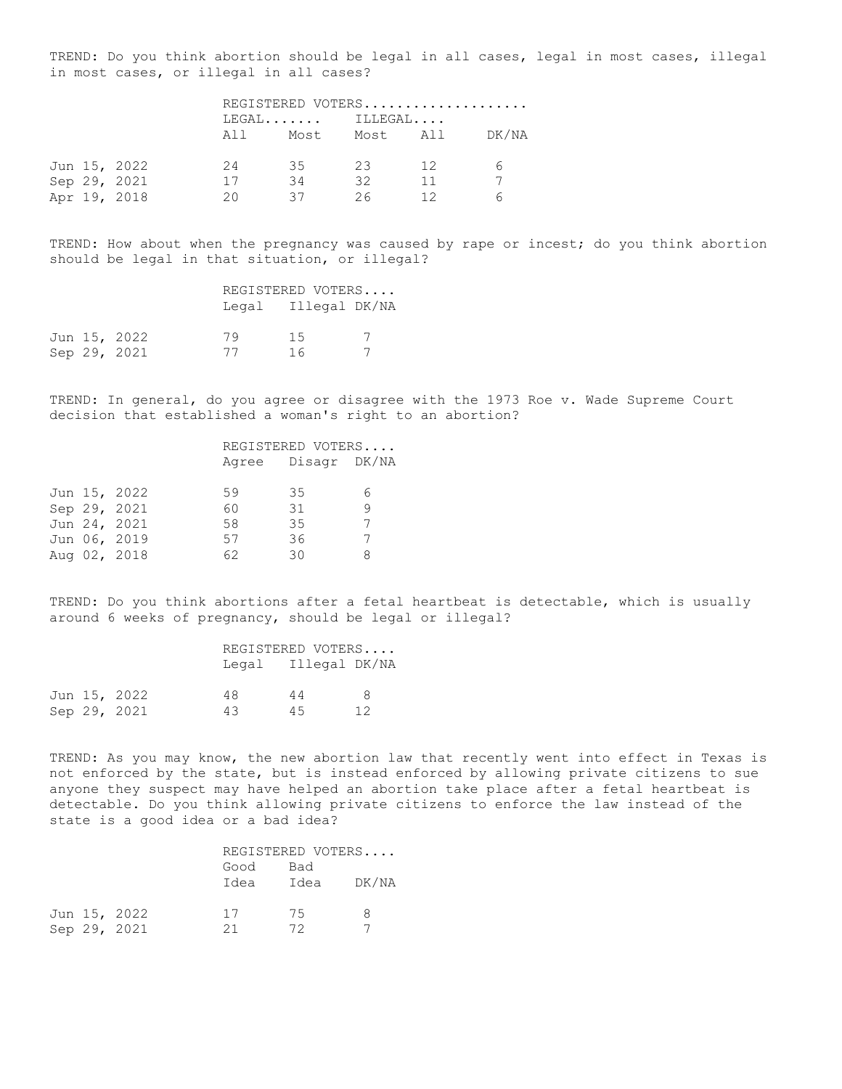TREND: Do you think abortion should be legal in all cases, legal in most cases, illegal in most cases, or illegal in all cases?

|  |              | REGISTERED VOTERS |      |          |    |       |  |
|--|--------------|-------------------|------|----------|----|-------|--|
|  |              | $LEGAL$ $ILLEGAL$ |      |          |    |       |  |
|  |              | All               | Most | Most All |    | DK/NA |  |
|  | Jun 15, 2022 | 24                | 35   | 23       | 12 | 6     |  |
|  | Sep 29, 2021 | 17                | 34   | 32       | 11 |       |  |
|  | Apr 19, 2018 | 20                | 37   | 26       | 12 |       |  |

TREND: How about when the pregnancy was caused by rape or incest; do you think abortion should be legal in that situation, or illegal?

|  |              | REGISTERED VOTERS |                     |  |
|--|--------------|-------------------|---------------------|--|
|  |              |                   | Legal Illegal DK/NA |  |
|  | Jun 15, 2022 | 79                | 1.5                 |  |
|  | Sep 29, 2021 | 77                | 16                  |  |

TREND: In general, do you agree or disagree with the 1973 Roe v. Wade Supreme Court decision that established a woman's right to an abortion?

|  |              | REGISTERED VOTERS |                    |   |
|--|--------------|-------------------|--------------------|---|
|  |              |                   | Agree Disagr DK/NA |   |
|  |              |                   |                    |   |
|  | Jun 15, 2022 | 59                | 35                 | 6 |
|  | Sep 29, 2021 | 60                | 31                 | 9 |
|  | Jun 24, 2021 | 58                | 35                 |   |
|  | Jun 06, 2019 | 57                | 36                 |   |
|  | Aug 02, 2018 | 62                | 30                 | 8 |
|  |              |                   |                    |   |

TREND: Do you think abortions after a fetal heartbeat is detectable, which is usually around 6 weeks of pregnancy, should be legal or illegal?

|  |              |    | REGISTERED VOTERS   |    |  |
|--|--------------|----|---------------------|----|--|
|  |              |    | Legal Illegal DK/NA |    |  |
|  | Jun 15, 2022 | 48 | 44                  | 8  |  |
|  | Sep 29, 2021 | 43 | 45                  | 12 |  |

TREND: As you may know, the new abortion law that recently went into effect in Texas is not enforced by the state, but is instead enforced by allowing private citizens to sue anyone they suspect may have helped an abortion take place after a fetal heartbeat is detectable. Do you think allowing private citizens to enforce the law instead of the state is a good idea or a bad idea?

|  |              | REGISTERED VOTERS |      |       |
|--|--------------|-------------------|------|-------|
|  |              | Good              | Bad  |       |
|  |              | Idea              | Idea | DK/NA |
|  | Jun 15, 2022 | 17                | 75   | я     |
|  | Sep 29, 2021 | 21                | フク   |       |